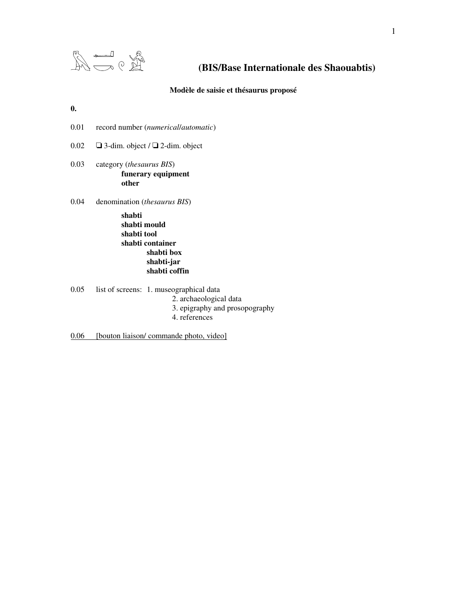

# **(BIS/Base Internationale des Shaouabtis)**

**Modèle de saisie et thésaurus proposé**

### **0.**

- 0.01 record number (*numerical*/*automatic*)
- 0.02  $\Box$  3-dim. object /  $\Box$  2-dim. object
- 0.03 category (*thesaurus BIS*) **funerary equipment other**
- 0.04 denomination (*thesaurus BIS*)

**shabti shabti mould shabti tool shabti container shabti box shabti-jar shabti coffin**

- 0.05 list of screens: 1. museographical data
	- 2. archaeological data
		- 3. epigraphy and prosopography
		- 4. references

0.06 [bouton liaison/ commande photo, video]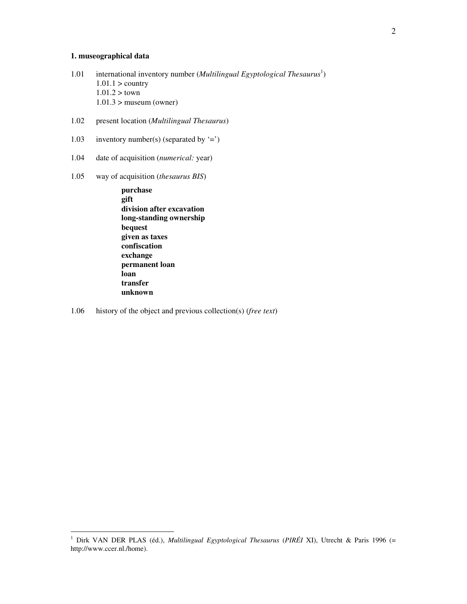# **1. museographical data**

- 1.01 international inventory number (*Multilingual Egyptological Thesaurus* 1 )  $1.01.1$  > country  $1.01.2 >$  town  $1.01.3$  > museum (owner)
- 1.02 present location (*Multilingual Thesaurus*)
- 1.03 inventory number(s) (separated by  $\equiv$ )
- 1.04 date of acquisition (*numerical:* year)
- 1.05 way of acquisition (*thesaurus BIS*)

**purchase gift division after excavation long-standing ownership bequest given as taxes confiscation exchange permanent loan loan transfer unknown**

1.06 history of the object and previous collection(s) (*free text*)

<sup>1</sup> Dirk VAN DER PLAS (éd.), *Multilingual Egyptological Thesaurus* (*PIRÉI* XI), Utrecht & Paris 1996 (= http://www.ccer.nl./home).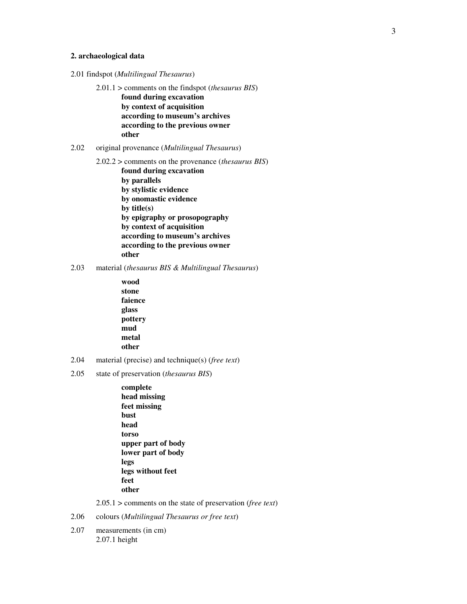### **2. archaeological data**

- 2.01 findspot (*Multilingual Thesaurus*)
	- 2.01.1 > comments on the findspot (*thesaurus BIS*) **found during excavation by context of acquisition according to museum's archives according to the previous owner other**
- 2.02 original provenance (*Multilingual Thesaurus*)
	- 2.02.2 > comments on the provenance (*thesaurus BIS*) **found during excavation by parallels by stylistic evidence by onomastic evidence by title(s) by epigraphy or prosopography by context of acquisition according to museum's archives according to the previous owner other**
- 2.03 material (*thesaurus BIS & Multilingual Thesaurus*)
	- **wood stone faience glass pottery mud metal other**
- 2.04 material (precise) and technique(s) (*free text*)
- 2.05 state of preservation (*thesaurus BIS*)
	- **complete head missing feet missing bust head torso upper part of body lower part of body legs legs without feet feet other**

2.05.1 > comments on the state of preservation (*free text*)

- 2.06 colours (*Multilingual Thesaurus or free text*)
- 2.07 measurements (in cm) 2.07.1 height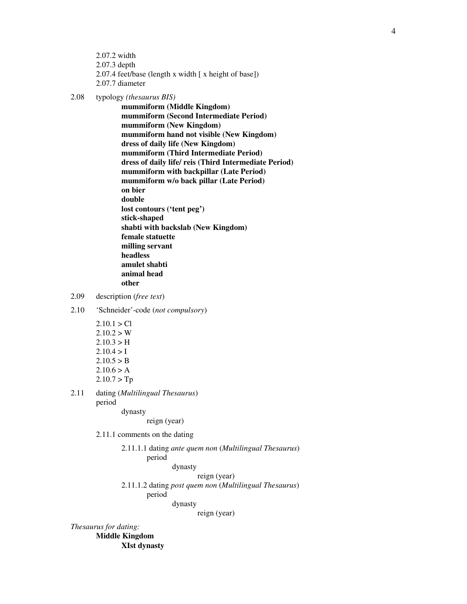- 2.07.2 width 2.07.3 depth 2.07.4 feet/base (length x width [ x height of base]) 2.07.7 diameter
- 2.08 typology *(thesaurus BIS)*

**mummiform (Middle Kingdom) mummiform (Second Intermediate Period) mummiform (New Kingdom) mummiform hand not visible (New Kingdom) dress of daily life (New Kingdom) mummiform (Third Intermediate Period) dress of daily life/ reis (Third Intermediate Period) mummiform with backpillar (Late Period) mummiform w/o back pillar (Late Period) on bier double lost contours ('tent peg') stick-shaped shabti with backslab (New Kingdom) female statuette milling servant headless amulet shabti animal head other**

- 2.09 description (*free text*)
- 2.10 'Schneider'-code (*not compulsory*)
	- $2.10.1 > C1$  $2.10.2 > W$  $2.10.3 > H$  $2.10.4 > I$  $2.10.5 > B$  $2.10.6 > A$  $2.10.7 > Tp$

2.11 dating (*Multilingual Thesaurus*) period

dynasty

reign (year)

2.11.1 comments on the dating

2.11.1.1 dating *ante quem non* (*Multilingual Thesaurus*) period

dynasty

reign (year)

2.11.1.2 dating *post quem non* (*Multilingual Thesaurus*)

period

dynasty

reign (year)

*Thesaurus for dating:*

**Middle Kingdom XIst dynasty**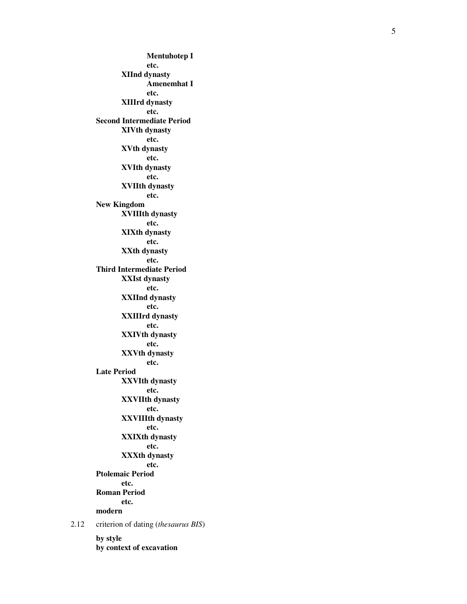**M e n t u h o t e p I e t c . X I I n d d y n a s t y** Amenemhat I **e t c . X I I I r d d y n a s t y e t c . Second Intermediate Period X I V t h d y n a s t y e t c . X V t h d y n a s t y e t c . X V I t h d y n a s t y e t c . X V I I t h d y n a s t y e t c . N e w K i n g d o m X V I I I t h d y n a s t y e t c . X I X t h d y n a s t y e t c . X X t h d y n a s t y e t c .** Third Intermediate Period **X X I s t d y n a s t y e t c . X X I I n d d y n a s t y e t c . X X I I I r d d y n a s t y e t c . XXIVth dynasty e t c . X X V t h d y n a s t y e t c .** Late Period **X X V I t h d y n a s t y e t c . X X V I I t h d y n a s t y e t c . X X V I I I t h d y n a s t y e t c . X X I X t h d y n a s t y e t c . X X X t h d y n a s t y e t c . P t o l e m a i c P e r i o d e t c . Roman Period e t c . modern** criterion of dating (thesaurus BIS) **b y s t y l e by context of excavation** 

2 . 1 2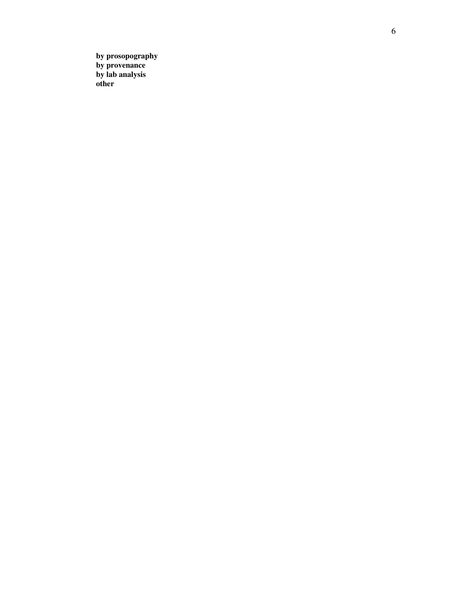**b**y prosopography **b**y provenance **b**y lab analysis **o t h e r**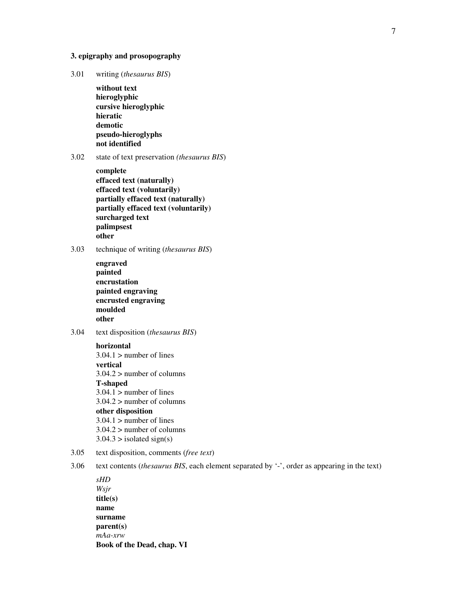### **3. epigraphy and prosopography**

3.01 writing (*thesaurus BIS*)

**without text hieroglyphic cursive hieroglyphic hieratic demotic pseudo-hieroglyphs not identified**

### 3.02 state of text preservation *(thesaurus BIS*)

**complete effaced text (naturally) effaced text (voluntarily) partially effaced text (naturally) partially effaced text (voluntarily) surcharged text palimpsest other**

3.03 technique of writing (*thesaurus BIS*)

- **engraved painted encrustation painted engraving encrusted engraving moulded other**
- 3.04 text disposition (*thesaurus BIS*)

**horizontal**  $3.04.1$  > number of lines **vertical** 3.04.2 > number of columns **T-shaped**  $3.04.1$  > number of lines 3.04.2 > number of columns **other disposition**  $3.04.1$  > number of lines  $3.04.2$  > number of columns  $3.04.3 >$  isolated sign(s)

- 3.05 text disposition, comments (*free text*)
- 3.06 text contents (*thesaurus BIS*, each element separated by '-', order as appearing in the text)

*sHD Wsjr* **title(s) name surname parent(s)** *mAa-xrw* **Book of the Dead, chap. VI**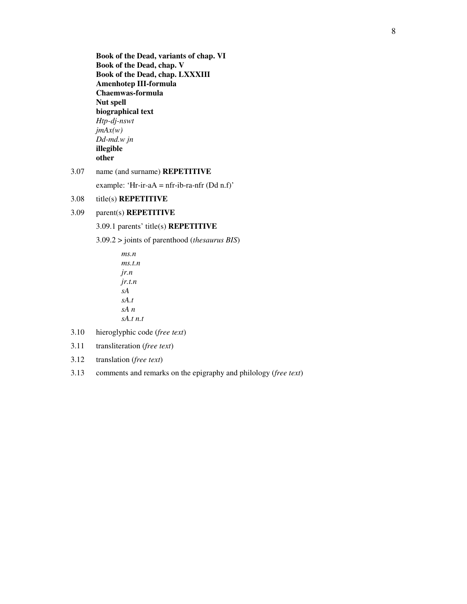**Book of the Dead, variants of chap. VI Book of the Dead, chap. V Book of the Dead, chap. LXXXIII Amenhotep III-formula Chaemwas-formula Nut spell biographical text** *Htp-dj-nswt jmAx(w) Dd-md.w jn* **illegible other**

# 3.07 name (and surname) **REPETITIVE**

example: 'Hr-ir-aA = nfr-ib-ra-nfr  $(Dd n.f)'$ 

### 3.08 title(s) **REPETITIVE**

## 3.09 parent(s) **REPETITIVE**

3.09.1 parents' title(s) **REPETITIVE**

3.09.2 > joints of parenthood (*thesaurus BIS*)

*ms.n ms.t.n jr.n jr.t.n sA sA.t sA n sA.t n.t*

- 3.10 hieroglyphic code (*free text*)
- 3.11 transliteration (*free text*)
- 3.12 translation (*free text*)
- 3.13 comments and remarks on the epigraphy and philology (*free text*)